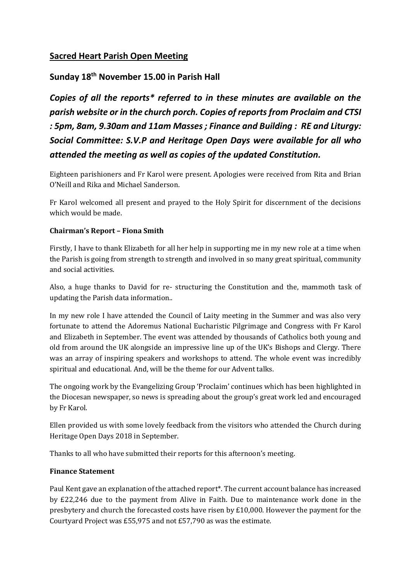# **Sacred Heart Parish Open Meeting**

# **Sunday 18th November 15.00 in Parish Hall**

*Copies of all the reports\* referred to in these minutes are available on the parish website or in the church porch. Copies of reports from Proclaim and CTSI : 5pm, 8am, 9.30am and 11am Masses ; Finance and Building : RE and Liturgy: Social Committee: S.V.P and Heritage Open Days were available for all who attended the meeting as well as copies of the updated Constitution.*

Eighteen parishioners and Fr Karol were present. Apologies were received from Rita and Brian O'Neill and Rika and Michael Sanderson.

Fr Karol welcomed all present and prayed to the Holy Spirit for discernment of the decisions which would be made.

## **Chairman's Report – Fiona Smith**

Firstly, I have to thank Elizabeth for all her help in supporting me in my new role at a time when the Parish is going from strength to strength and involved in so many great spiritual, community and social activities.

Also, a huge thanks to David for re- structuring the Constitution and the, mammoth task of updating the Parish data information..

In my new role I have attended the Council of Laity meeting in the Summer and was also very fortunate to attend the Adoremus National Eucharistic Pilgrimage and Congress with Fr Karol and Elizabeth in September. The event was attended by thousands of Catholics both young and old from around the UK alongside an impressive line up of the UK's Bishops and Clergy. There was an array of inspiring speakers and workshops to attend. The whole event was incredibly spiritual and educational. And, will be the theme for our Advent talks.

The ongoing work by the Evangelizing Group 'Proclaim' continues which has been highlighted in the Diocesan newspaper, so news is spreading about the group's great work led and encouraged by Fr Karol.

Ellen provided us with some lovely feedback from the visitors who attended the Church during Heritage Open Days 2018 in September.

Thanks to all who have submitted their reports for this afternoon's meeting.

# **Finance Statement**

Paul Kent gave an explanation of the attached report\*. The current account balance has increased by £22,246 due to the payment from Alive in Faith. Due to maintenance work done in the presbytery and church the forecasted costs have risen by £10,000. However the payment for the Courtyard Project was £55,975 and not £57,790 as was the estimate.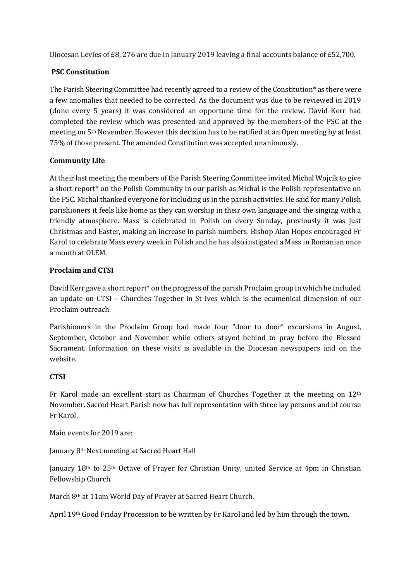Diocesan Levies of £8, 276 are due in January 2019 leaving a final accounts balance of £52,700.

### **PSC Constitution**

The Parish Steering Committee had recently agreed to a review of the Constitution\* as there were a few anomalies that needed to be corrected. As the document was due to be reviewed in 2019 (done every 5 years) it was considered an opportune time for the review. David Kerr had completed the review which was presented and approved by the members of the PSC at the meeting on 5th November. However this decision has to be ratified at an Open meeting by at least 75% of those present. The amended Constitution was accepted unanimously.

#### **Community Life**

At their last meeting the members of the Parish Steering Committee invited Michal Wojcik to give a short report\* on the Polish Community in our parish as Michal is the Polish representative on the PSC. Michal thanked everyone for including us in the parish activities. He said for many Polish parishioners it feels like home as they can worship in their own language and the singing with a friendly atmosphere. Mass is celebrated in Polish on every Sunday, previously it was just Christmas and Easter, making an increase in parish numbers. Bishop Alan Hopes encouraged Fr Karol to celebrate Mass every week in Polish and he has also instigated a Mass in Romanian once a month at OLEM.

#### **Proclaim and CTSI**

David Kerr gave a short report\* on the progress of the parish Proclaim group in which he included an update on CTSI – Churches Together in St Ives which is the ecumenical dimension of our Proclaim outreach.

Parishioners in the Proclaim Group had made four "door to door" excursions in August, September, October and November while others stayed behind to pray before the Blessed Sacrament. Information on these visits is available in the Diocesan newspapers and on the website.

## **CTSI**

Fr Karol made an excellent start as Chairman of Churches Together at the meeting on  $12<sup>th</sup>$ November. Sacred Heart Parish now has full representation with three lay persons and of course Fr Karol.

Main events for 2019 are:

January 8th Next meeting at Sacred Heart Hall

January 18<sup>th</sup> to 25<sup>th</sup> Octave of Prayer for Christian Unity, united Service at 4pm in Christian Fellowship Church.

March 8th at 11am World Day of Prayer at Sacred Heart Church.

April 19th Good Friday Procession to be written by Fr Karol and led by him through the town.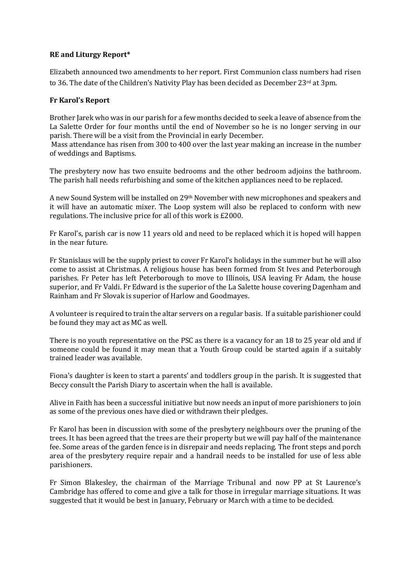#### **RE and Liturgy Report\***

Elizabeth announced two amendments to her report. First Communion class numbers had risen to 36. The date of the Children's Nativity Play has been decided as December  $23<sup>rd</sup>$  at 3pm.

#### **Fr Karol's Report**

Brother Jarek who was in our parish for a few months decided to seek a leave of absence from the La Salette Order for four months until the end of November so he is no longer serving in our parish. There will be a visit from the Provincial in early December.

Mass attendance has risen from 300 to 400 over the last year making an increase in the number of weddings and Baptisms.

The presbytery now has two ensuite bedrooms and the other bedroom adjoins the bathroom. The parish hall needs refurbishing and some of the kitchen appliances need to be replaced.

A new Sound System will be installed on 29th November with new microphones and speakers and it will have an automatic mixer. The Loop system will also be replaced to conform with new regulations. The inclusive price for all of this work is £2000.

Fr Karol's, parish car is now 11 years old and need to be replaced which it is hoped will happen in the near future.

Fr Stanislaus will be the supply priest to cover Fr Karol's holidays in the summer but he will also come to assist at Christmas. A religious house has been formed from St Ives and Peterborough parishes. Fr Peter has left Peterborough to move to Illinois, USA leaving Fr Adam, the house superior, and Fr Valdi. Fr Edward is the superior of the La Salette house covering Dagenham and Rainham and Fr Slovak is superior of Harlow and Goodmayes.

A volunteer is required to train the altar servers on a regular basis. If a suitable parishioner could be found they may act as MC as well.

There is no youth representative on the PSC as there is a vacancy for an 18 to 25 year old and if someone could be found it may mean that a Youth Group could be started again if a suitably trained leader was available.

Fiona's daughter is keen to start a parents' and toddlers group in the parish. It is suggested that Beccy consult the Parish Diary to ascertain when the hall is available.

Alive in Faith has been a successful initiative but now needs an input of more parishioners to join as some of the previous ones have died or withdrawn their pledges.

Fr Karol has been in discussion with some of the presbytery neighbours over the pruning of the trees. It has been agreed that the trees are their property but we will pay half of the maintenance fee. Some areas of the garden fence is in disrepair and needs replacing. The front steps and porch area of the presbytery require repair and a handrail needs to be installed for use of less able parishioners.

Fr Simon Blakesley, the chairman of the Marriage Tribunal and now PP at St Laurence's Cambridge has offered to come and give a talk for those in irregular marriage situations. It was suggested that it would be best in January, February or March with a time to be decided.